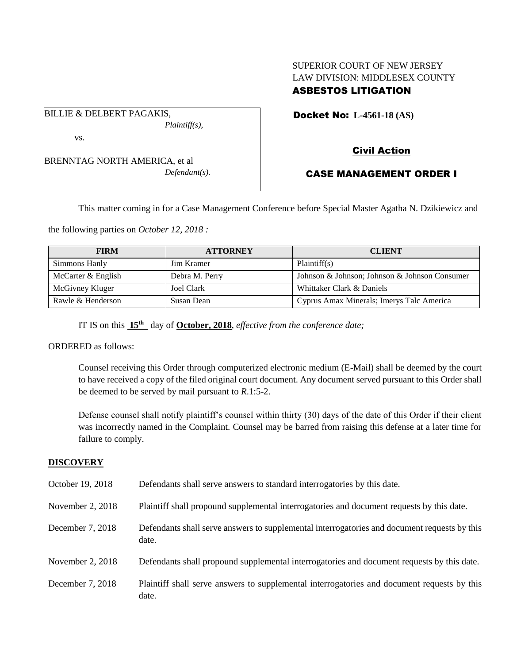# SUPERIOR COURT OF NEW JERSEY LAW DIVISION: MIDDLESEX COUNTY ASBESTOS LITIGATION

Docket No: **L-4561-18 (AS)** 

BILLIE & DELBERT PAGAKIS,

vs.

BRENNTAG NORTH AMERICA, et al *Defendant(s).*

*Plaintiff(s),*

Civil Action

# CASE MANAGEMENT ORDER I

This matter coming in for a Case Management Conference before Special Master Agatha N. Dzikiewicz and

the following parties on *October 12, 2018 :*

| <b>FIRM</b>        | <b>ATTORNEY</b>   | <b>CLIENT</b>                                 |
|--------------------|-------------------|-----------------------------------------------|
| Simmons Hanly      | <b>Jim Kramer</b> | Plaintiff(s)                                  |
| McCarter & English | Debra M. Perry    | Johnson & Johnson; Johnson & Johnson Consumer |
| McGivney Kluger    | <b>Joel Clark</b> | Whittaker Clark & Daniels                     |
| Rawle & Henderson  | Susan Dean        | Cyprus Amax Minerals; Imerys Talc America     |

IT IS on this **15th** day of **October, 2018**, *effective from the conference date;*

ORDERED as follows:

Counsel receiving this Order through computerized electronic medium (E-Mail) shall be deemed by the court to have received a copy of the filed original court document. Any document served pursuant to this Order shall be deemed to be served by mail pursuant to *R*.1:5-2.

Defense counsel shall notify plaintiff's counsel within thirty (30) days of the date of this Order if their client was incorrectly named in the Complaint. Counsel may be barred from raising this defense at a later time for failure to comply.

### **DISCOVERY**

| October 19, 2018   | Defendants shall serve answers to standard interrogatories by this date.                              |
|--------------------|-------------------------------------------------------------------------------------------------------|
| November 2, 2018   | Plaintiff shall propound supplemental interrogatories and document requests by this date.             |
| December 7, 2018   | Defendants shall serve answers to supplemental interrogatories and document requests by this<br>date. |
| November 2, $2018$ | Defendants shall propound supplemental interrogatories and document requests by this date.            |
| December 7, 2018   | Plaintiff shall serve answers to supplemental interrogatories and document requests by this<br>date.  |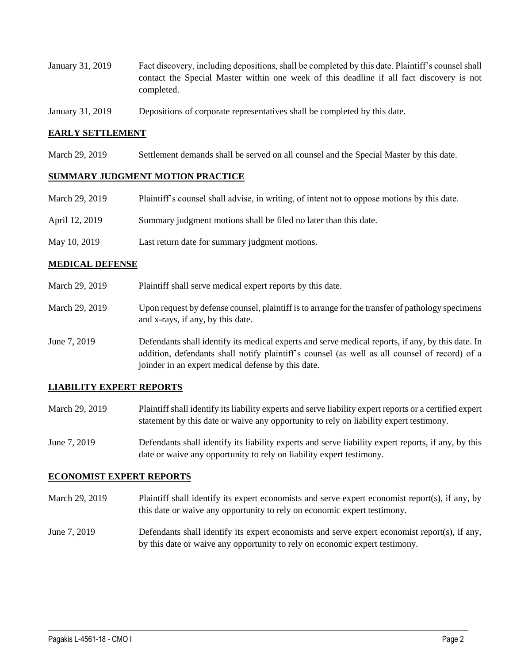- January 31, 2019 Fact discovery, including depositions, shall be completed by this date. Plaintiff's counsel shall contact the Special Master within one week of this deadline if all fact discovery is not completed.
- January 31, 2019 Depositions of corporate representatives shall be completed by this date.

### **EARLY SETTLEMENT**

March 29, 2019 Settlement demands shall be served on all counsel and the Special Master by this date.

#### **SUMMARY JUDGMENT MOTION PRACTICE**

| March 29, 2019 | Plaintiff's counsel shall advise, in writing, of intent not to oppose motions by this date. |
|----------------|---------------------------------------------------------------------------------------------|
| April 12, 2019 | Summary judgment motions shall be filed no later than this date.                            |
| May 10, 2019   | Last return date for summary judgment motions.                                              |

#### **MEDICAL DEFENSE**

- March 29, 2019 Plaintiff shall serve medical expert reports by this date.
- March 29, 2019 Upon request by defense counsel, plaintiff is to arrange for the transfer of pathology specimens and x-rays, if any, by this date.
- June 7, 2019 Defendants shall identify its medical experts and serve medical reports, if any, by this date. In addition, defendants shall notify plaintiff's counsel (as well as all counsel of record) of a joinder in an expert medical defense by this date.

### **LIABILITY EXPERT REPORTS**

- March 29, 2019 Plaintiff shall identify its liability experts and serve liability expert reports or a certified expert statement by this date or waive any opportunity to rely on liability expert testimony.
- June 7, 2019 Defendants shall identify its liability experts and serve liability expert reports, if any, by this date or waive any opportunity to rely on liability expert testimony.

#### **ECONOMIST EXPERT REPORTS**

- March 29, 2019 Plaintiff shall identify its expert economists and serve expert economist report(s), if any, by this date or waive any opportunity to rely on economic expert testimony.
- June 7, 2019 Defendants shall identify its expert economists and serve expert economist report(s), if any, by this date or waive any opportunity to rely on economic expert testimony.

 $\_$  ,  $\_$  ,  $\_$  ,  $\_$  ,  $\_$  ,  $\_$  ,  $\_$  ,  $\_$  ,  $\_$  ,  $\_$  ,  $\_$  ,  $\_$  ,  $\_$  ,  $\_$  ,  $\_$  ,  $\_$  ,  $\_$  ,  $\_$  ,  $\_$  ,  $\_$  ,  $\_$  ,  $\_$  ,  $\_$  ,  $\_$  ,  $\_$  ,  $\_$  ,  $\_$  ,  $\_$  ,  $\_$  ,  $\_$  ,  $\_$  ,  $\_$  ,  $\_$  ,  $\_$  ,  $\_$  ,  $\_$  ,  $\_$  ,